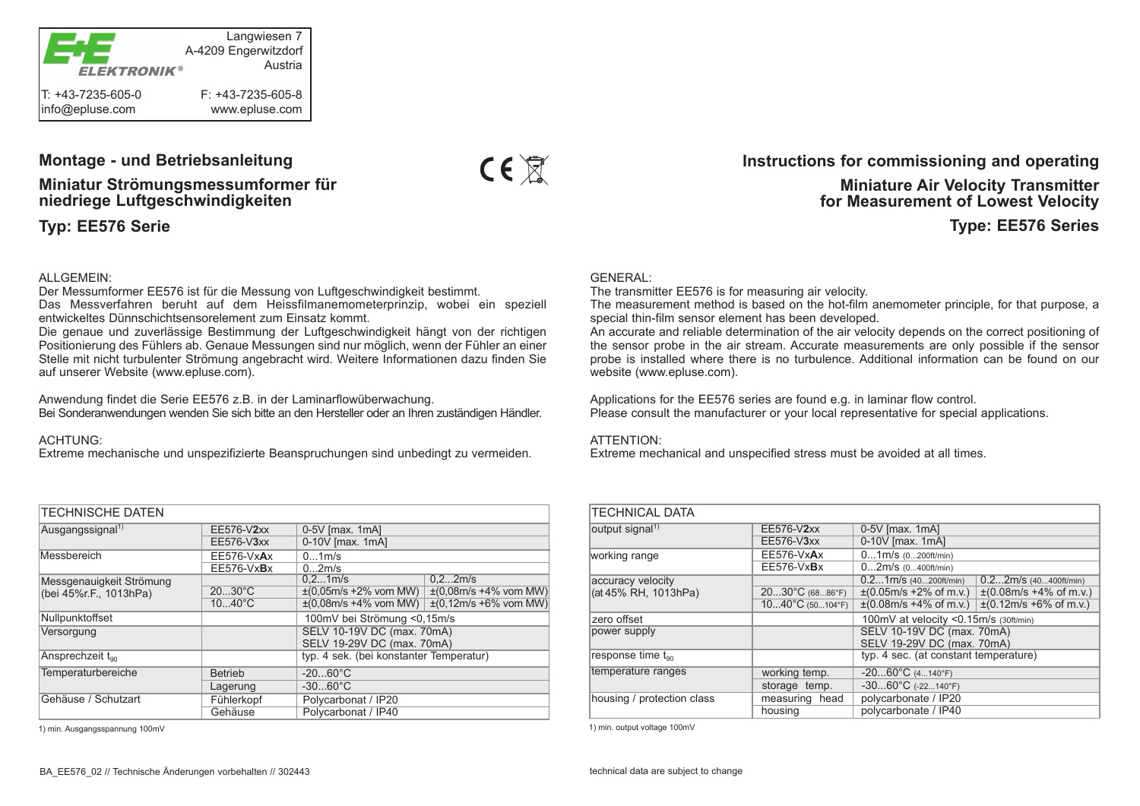

### **Montage - und Betriebsanleitung**

**Miniatur Strömungsmessumformer für niedriege Luftgeschwindigkeiten**

**Typ: EE576 Serie**

#### ALLGEMEIN:

Der Messumformer EE576 ist für die Messung von Luftgeschwindigkeit bestimmt.

Das Messverfahren beruht auf dem Heissfilmanemometerprinzip, wobei ein speziell entwickeltes Dünnschichtsensorelement zum Einsatz kommt.

Die genaue und zuverlässige Bestimmung der Luftgeschwindigkeit hängt von der richtigen Positionierung des Fühlers ab. Genaue Messungen sind nur möglich, wenn der Fühler an einer Stelle mit nicht turbulenter Strömung angebracht wird. Weitere Informationen dazu finden Sie auf unserer Website (www.epluse.com).

Anwendung findet die Serie EE576 z.B. in der Laminarflowüberwachung. Bei Sonderanwendungen wenden Sie sich bitte an den Hersteller oder an Ihren zuständigen Händler.

#### ACHTUNG:

Extreme mechanische und unspezifizierte Beanspruchungen sind unbedingt zu vermeiden.

| <b>TECHNISCHE DATEN</b>                            |                  |                                         |                                                                                           |  |  |  |
|----------------------------------------------------|------------------|-----------------------------------------|-------------------------------------------------------------------------------------------|--|--|--|
| Ausgangssignal <sup>1)</sup>                       | EE576-V2xx       | 0-5V [max. 1mA]                         |                                                                                           |  |  |  |
|                                                    | EE576-V3xx       | 0-10V [max. 1mA]                        |                                                                                           |  |  |  |
| Messbereich                                        | EE576-VxAx       | 01m/s                                   |                                                                                           |  |  |  |
|                                                    | $EE576-VxBx$     | 02m/s                                   |                                                                                           |  |  |  |
| Messgenauigkeit Strömung<br>(bei 45%r.F., 1013hPa) |                  | 0.21m/s                                 | 0.22m/s                                                                                   |  |  |  |
|                                                    | $2030^{\circ}$ C |                                         | $\pm (0.05 \text{m/s} + 2\% \text{ vom MW})$ $\pm (0.08 \text{m/s} + 4\% \text{ vom MW})$ |  |  |  |
|                                                    | $1040^{\circ}C$  |                                         | $\pm (0.08 \text{m/s} + 4\% \text{ vom MW})$ $\pm (0.12 \text{m/s} + 6\% \text{ vom MW})$ |  |  |  |
| Nullpunktoffset                                    |                  | 100mV bei Strömung <0,15m/s             |                                                                                           |  |  |  |
| Versorgung                                         |                  | SELV 10-19V DC (max. 70mA)              |                                                                                           |  |  |  |
|                                                    |                  | SELV 19-29V DC (max. 70mA)              |                                                                                           |  |  |  |
| Ansprechzeit ton                                   |                  | typ. 4 sek. (bei konstanter Temperatur) |                                                                                           |  |  |  |
| Temperaturbereiche                                 | <b>Betrieb</b>   | $-2060^{\circ}$ C                       |                                                                                           |  |  |  |
|                                                    | Lagerung         | $-3060^{\circ}$ C                       |                                                                                           |  |  |  |
| Gehäuse / Schutzart                                | Fühlerkopf       | Polycarbonat / IP20                     |                                                                                           |  |  |  |
|                                                    | Gehäuse          | Polycarbonat / IP40                     |                                                                                           |  |  |  |

1) min. Ausgangsspannung 100mV 1) min. output voltage 100mV



### **Instructions for commissioning and operating**

## **Miniature Air Velocity Transmitter for Measurement of Lowest Velocity**

**Type: EE576 Series**

#### GENERAL:

The transmitter EE576 is for measuring air velocity.

The measurement method is based on the hot-film anemometer principle, for that purpose, a special thin-film sensor element has been developed.

An accurate and reliable determination of the air velocity depends on the correct positioning of the sensor probe in the air stream. Accurate measurements are only possible if the sensor probe is installed where there is no turbulence. Additional information can be found on our website (www.epluse.com).

Applications for the EE576 series are found e.g. in laminar flow control. Please consult the manufacturer or your local representative for special applications.

#### ATTENTION:

Extreme mechanical and unspecified stress must be avoided at all times.

| <b>TECHNICAL DATA</b>         |                                 |                                               |                                               |  |  |  |
|-------------------------------|---------------------------------|-----------------------------------------------|-----------------------------------------------|--|--|--|
| output signal <sup>1)</sup>   | EE576-V2xx                      | $0-5V$ [max. 1mA]                             |                                               |  |  |  |
|                               | EE576-V3xx                      | 0-10V [max. 1mA]                              |                                               |  |  |  |
| working range                 | EE576-VxAx                      | $01m/s$ (0200ft/min)                          |                                               |  |  |  |
|                               | $EE576-VxBx$                    | $02m/s$ (0400ft/min)                          |                                               |  |  |  |
| accuracy velocity             |                                 | $0.21m/s$ (40200ft/min)                       | $0.22m/s$ (40400ft/min)                       |  |  |  |
| (at 45% RH, 1013hPa)          | $2030^{\circ}C(6886^{\circ}F)$  | $\pm (0.05 \text{m/s} + 2\% \text{ of m.v.})$ | $\pm (0.08 \text{m/s} + 4\% \text{ of m.v.})$ |  |  |  |
|                               | $1040^{\circ}C(50104^{\circ}F)$ | $\pm (0.08 \text{m/s} + 4\% \text{ of m.v.})$ | $\pm (0.12 \text{m/s} + 6\% \text{ of m.v.})$ |  |  |  |
| zero offset                   |                                 | 100mV at velocity <0.15m/s (30ft/min)         |                                               |  |  |  |
| power supply                  |                                 | SELV 10-19V DC (max. 70mA)                    |                                               |  |  |  |
|                               |                                 | SELV 19-29V DC (max. 70mA)                    |                                               |  |  |  |
| response time t <sub>90</sub> |                                 | typ. 4 sec. (at constant temperature)         |                                               |  |  |  |
| temperature ranges            | working temp.                   | $-2060^{\circ}C(4140^{\circ}F)$               |                                               |  |  |  |
|                               | storage temp.                   | $-3060^{\circ}C$ (-22140°F)                   |                                               |  |  |  |
| housing / protection class    | measuring head                  | polycarbonate / IP20                          |                                               |  |  |  |
|                               | housing                         | polycarbonate / IP40                          |                                               |  |  |  |